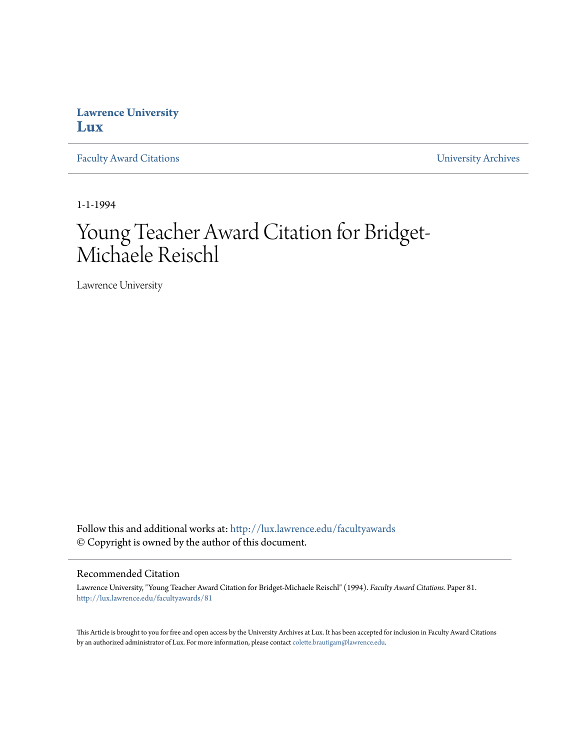## **Lawrence University [Lux](http://lux.lawrence.edu?utm_source=lux.lawrence.edu%2Ffacultyawards%2F81&utm_medium=PDF&utm_campaign=PDFCoverPages)**

[Faculty Award Citations](http://lux.lawrence.edu/facultyawards?utm_source=lux.lawrence.edu%2Ffacultyawards%2F81&utm_medium=PDF&utm_campaign=PDFCoverPages) **Example 2018** [University Archives](http://lux.lawrence.edu/archives?utm_source=lux.lawrence.edu%2Ffacultyawards%2F81&utm_medium=PDF&utm_campaign=PDFCoverPages)

1-1-1994

# Young Teacher Award Citation for Bridget-Michaele Reischl

Lawrence University

Follow this and additional works at: [http://lux.lawrence.edu/facultyawards](http://lux.lawrence.edu/facultyawards?utm_source=lux.lawrence.edu%2Ffacultyawards%2F81&utm_medium=PDF&utm_campaign=PDFCoverPages) © Copyright is owned by the author of this document.

#### Recommended Citation

Lawrence University, "Young Teacher Award Citation for Bridget-Michaele Reischl" (1994). *Faculty Award Citations.* Paper 81. [http://lux.lawrence.edu/facultyawards/81](http://lux.lawrence.edu/facultyawards/81?utm_source=lux.lawrence.edu%2Ffacultyawards%2F81&utm_medium=PDF&utm_campaign=PDFCoverPages)

This Article is brought to you for free and open access by the University Archives at Lux. It has been accepted for inclusion in Faculty Award Citations by an authorized administrator of Lux. For more information, please contact [colette.brautigam@lawrence.edu](mailto:colette.brautigam@lawrence.edu).